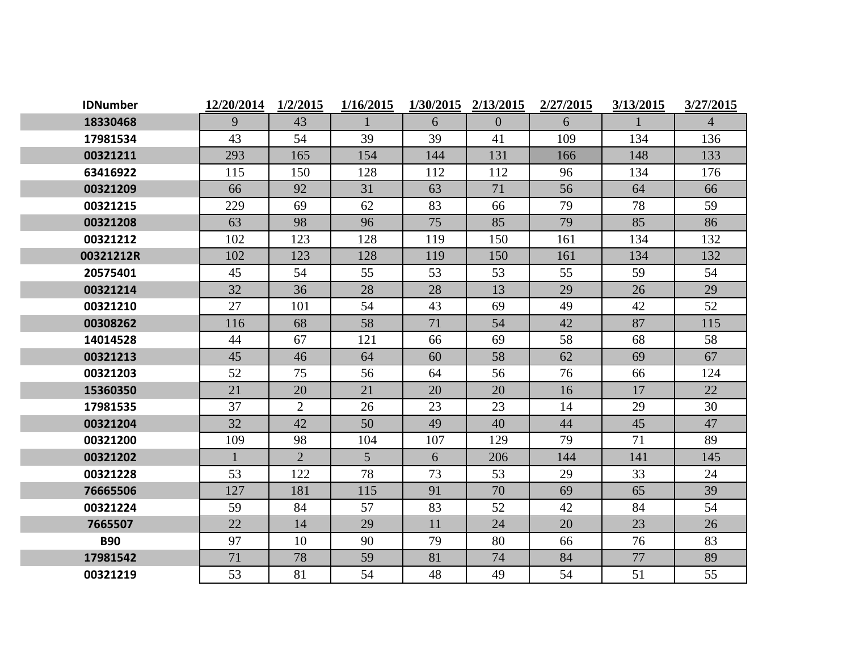| <b>IDNumber</b> | 12/20/2014   | 1/2/2015       | 1/16/2015      | 1/30/2015 | 2/13/2015      | 2/27/2015 | 3/13/2015 | 3/27/2015      |
|-----------------|--------------|----------------|----------------|-----------|----------------|-----------|-----------|----------------|
| 18330468        | 9            | 43             | $\mathbf{1}$   | 6         | $\overline{0}$ | 6         |           | $\overline{4}$ |
| 17981534        | 43           | 54             | 39             | 39        | 41             | 109       | 134       | 136            |
| 00321211        | 293          | 165            | 154            | 144       | 131            | 166       | 148       | 133            |
| 63416922        | 115          | 150            | 128            | 112       | 112            | 96        | 134       | 176            |
| 00321209        | 66           | 92             | 31             | 63        | 71             | 56        | 64        | 66             |
| 00321215        | 229          | 69             | 62             | 83        | 66             | 79        | 78        | 59             |
| 00321208        | 63           | 98             | 96             | 75        | 85             | 79        | 85        | 86             |
| 00321212        | 102          | 123            | 128            | 119       | 150            | 161       | 134       | 132            |
| 00321212R       | 102          | 123            | 128            | 119       | 150            | 161       | 134       | 132            |
| 20575401        | 45           | 54             | 55             | 53        | 53             | 55        | 59        | 54             |
| 00321214        | 32           | 36             | 28             | 28        | 13             | 29        | 26        | 29             |
| 00321210        | 27           | 101            | 54             | 43        | 69             | 49        | 42        | 52             |
| 00308262        | 116          | 68             | 58             | 71        | 54             | 42        | 87        | 115            |
| 14014528        | 44           | 67             | 121            | 66        | 69             | 58        | 68        | 58             |
| 00321213        | 45           | 46             | 64             | 60        | 58             | 62        | 69        | 67             |
| 00321203        | 52           | 75             | 56             | 64        | 56             | 76        | 66        | 124            |
| 15360350        | 21           | 20             | 21             | 20        | 20             | 16        | 17        | 22             |
| 17981535        | 37           | 2              | 26             | 23        | 23             | 14        | 29        | 30             |
| 00321204        | 32           | 42             | 50             | 49        | 40             | 44        | 45        | 47             |
| 00321200        | 109          | 98             | 104            | 107       | 129            | 79        | 71        | 89             |
| 00321202        | $\mathbf{1}$ | $\overline{2}$ | 5 <sup>5</sup> | 6         | 206            | 144       | 141       | 145            |
| 00321228        | 53           | 122            | 78             | 73        | 53             | 29        | 33        | 24             |
| 76665506        | 127          | 181            | 115            | 91        | 70             | 69        | 65        | 39             |
| 00321224        | 59           | 84             | 57             | 83        | 52             | 42        | 84        | 54             |
| 7665507         | 22           | 14             | 29             | 11        | 24             | 20        | 23        | 26             |
| <b>B90</b>      | 97           | 10             | 90             | 79        | 80             | 66        | 76        | 83             |
| 17981542        | 71           | 78             | 59             | 81        | 74             | 84        | 77        | 89             |
| 00321219        | 53           | 81             | 54             | 48        | 49             | 54        | 51        | 55             |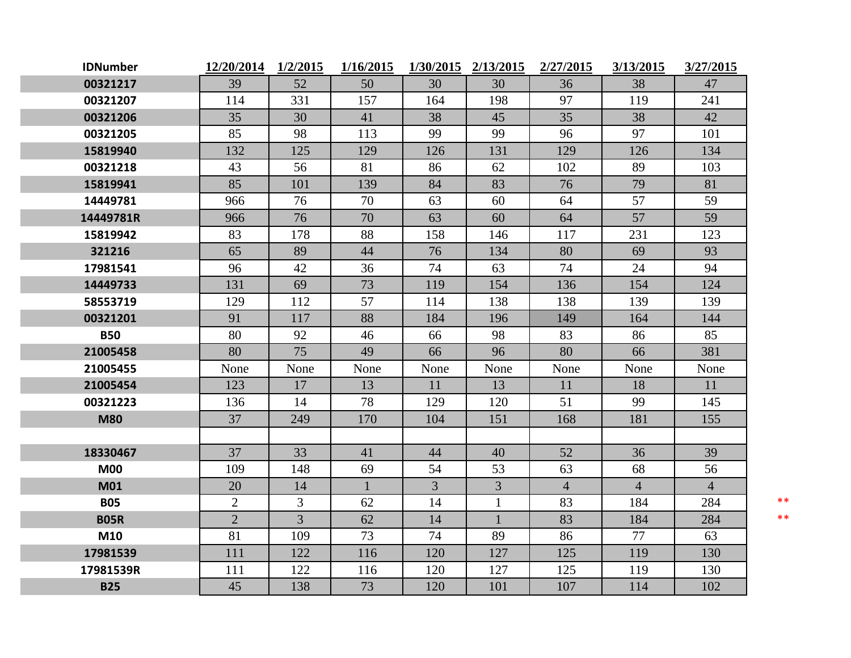| <b>IDNumber</b> | 12/20/2014 1/2/2015 |                | 1/16/2015    |      | 1/30/2015 2/13/2015 | 2/27/2015      | 3/13/2015      | 3/27/2015      |       |
|-----------------|---------------------|----------------|--------------|------|---------------------|----------------|----------------|----------------|-------|
| 00321217        | 39                  | 52             | 50           | 30   | 30                  | 36             | 38             | 47             |       |
| 00321207        | 114                 | 331            | 157          | 164  | 198                 | 97             | 119            | 241            |       |
| 00321206        | 35                  | 30             | 41           | 38   | 45                  | 35             | 38             | 42             |       |
| 00321205        | 85                  | 98             | 113          | 99   | 99                  | 96             | 97             | 101            |       |
| 15819940        | 132                 | 125            | 129          | 126  | 131                 | 129            | 126            | 134            |       |
| 00321218        | 43                  | 56             | 81           | 86   | 62                  | 102            | 89             | 103            |       |
| 15819941        | 85                  | 101            | 139          | 84   | 83                  | 76             | 79             | 81             |       |
| 14449781        | 966                 | 76             | 70           | 63   | 60                  | 64             | 57             | 59             |       |
| 14449781R       | 966                 | 76             | 70           | 63   | 60                  | 64             | 57             | 59             |       |
| 15819942        | 83                  | 178            | 88           | 158  | 146                 | 117            | 231            | 123            |       |
| 321216          | 65                  | 89             | 44           | 76   | 134                 | 80             | 69             | 93             |       |
| 17981541        | 96                  | 42             | 36           | 74   | 63                  | 74             | 24             | 94             |       |
| 14449733        | 131                 | 69             | 73           | 119  | 154                 | 136            | 154            | 124            |       |
| 58553719        | 129                 | 112            | 57           | 114  | 138                 | 138            | 139            | 139            |       |
| 00321201        | 91                  | 117            | 88           | 184  | 196                 | 149            | 164            | 144            |       |
| <b>B50</b>      | 80                  | 92             | 46           | 66   | 98                  | 83             | 86             | 85             |       |
| 21005458        | 80                  | 75             | 49           | 66   | 96                  | 80             | 66             | 381            |       |
| 21005455        | None                | None           | None         | None | None                | None           | None           | None           |       |
| 21005454        | 123                 | 17             | 13           | 11   | 13                  | 11             | 18             | 11             |       |
| 00321223        | 136                 | 14             | 78           | 129  | 120                 | 51             | 99             | 145            |       |
| <b>M80</b>      | 37                  | 249            | 170          | 104  | 151                 | 168            | 181            | 155            |       |
|                 |                     |                |              |      |                     |                |                |                |       |
| 18330467        | 37                  | 33             | 41           | 44   | 40                  | 52             | 36             | 39             |       |
| <b>M00</b>      | 109                 | 148            | 69           | 54   | 53                  | 63             | 68             | 56             |       |
| <b>M01</b>      | 20                  | 14             | $\mathbf{1}$ | 3    | 3                   | $\overline{4}$ | $\overline{4}$ | $\overline{4}$ |       |
| <b>B05</b>      | $\overline{2}$      | 3              | 62           | 14   | 1                   | 83             | 184            | 284            | $***$ |
| <b>B05R</b>     | $\overline{2}$      | $\overline{3}$ | 62           | 14   | $\mathbf{1}$        | 83             | 184            | 284            | $***$ |
| M10             | 81                  | 109            | 73           | 74   | 89                  | 86             | 77             | 63             |       |
| 17981539        | 111                 | 122            | 116          | 120  | 127                 | 125            | 119            | 130            |       |
| 17981539R       | 111                 | 122            | 116          | 120  | 127                 | 125            | 119            | 130            |       |
| <b>B25</b>      | 45                  | 138            | 73           | 120  | 101                 | 107            | 114            | 102            |       |